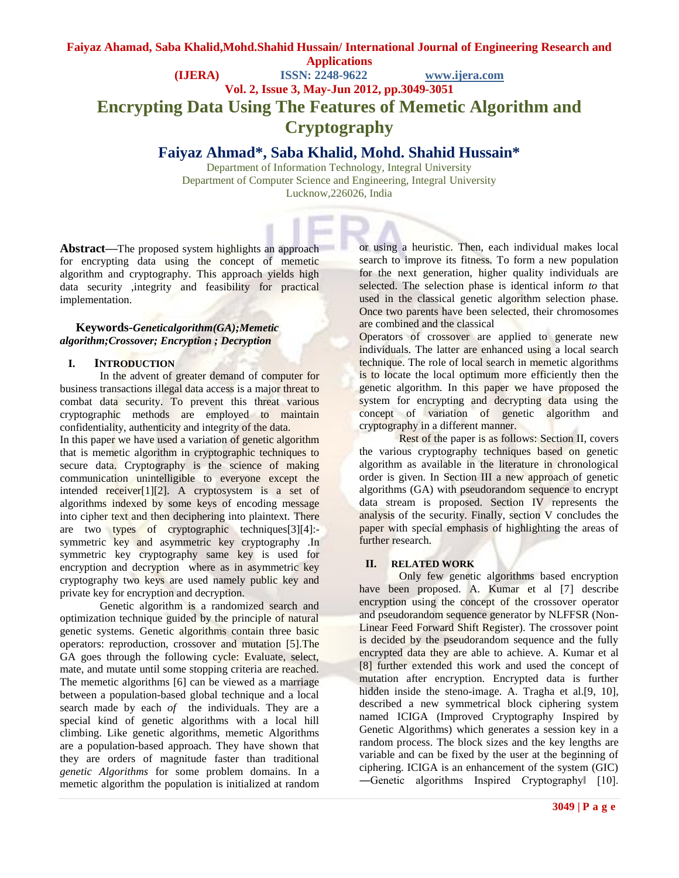# **Faiyaz Ahamad, Saba Khalid,Mohd.Shahid Hussain/ International Journal of Engineering Research and Applications (IJERA) ISSN: 2248-9622 www.ijera.com Vol. 2, Issue 3, May-Jun 2012, pp.3049-3051 Encrypting Data Using The Features of Memetic Algorithm and Cryptography**

# **Faiyaz Ahmad\*, Saba Khalid, Mohd. Shahid Hussain\***

Department of Information Technology, Integral University Department of Computer Science and Engineering, Integral University Lucknow,226026, India

**Abstract—**The proposed system highlights an approach for encrypting data using the concept of memetic algorithm and cryptography. This approach yields high data security ,integrity and feasibility for practical implementation.

#### **Keywords-***Geneticalgorithm(GA);Memetic algorithm;Crossover; Encryption ; Decryption*

#### **I. INTRODUCTION**

In the advent of greater demand of computer for business transactions illegal data access is a major threat to combat data security. To prevent this threat various cryptographic methods are employed to maintain confidentiality, authenticity and integrity of the data.

In this paper we have used a variation of genetic algorithm that is memetic algorithm in cryptographic techniques to secure data. Cryptography is the science of making communication unintelligible to everyone except the intended receiver[1][2]. A cryptosystem is a set of algorithms indexed by some keys of encoding message into cipher text and then deciphering into plaintext. There are two types of cryptographic techniques[3][4]: symmetric key and asymmetric key cryptography .In symmetric key cryptography same key is used for encryption and decryption where as in asymmetric key cryptography two keys are used namely public key and private key for encryption and decryption.

Genetic algorithm is a randomized search and optimization technique guided by the principle of natural genetic systems. Genetic algorithms contain three basic operators: reproduction, crossover and mutation [5].The GA goes through the following cycle: Evaluate, select, mate, and mutate until some stopping criteria are reached. The memetic algorithms [6] can be viewed as a marriage between a population-based global technique and a local search made by each *of* the individuals. They are a special kind of genetic algorithms with a local hill climbing. Like genetic algorithms, memetic Algorithms are a population-based approach. They have shown that they are orders of magnitude faster than traditional *genetic Algorithms* for some problem domains. In a memetic algorithm the population is initialized at random

or using a heuristic. Then, each individual makes local search to improve its fitness. To form a new population for the next generation, higher quality individuals are selected. The selection phase is identical inform *to* that used in the classical genetic algorithm selection phase. Once two parents have been selected, their chromosomes are combined and the classical

Operators of crossover are applied to generate new individuals. The latter are enhanced using a local search technique. The role of local search in memetic algorithms is to locate the local optimum more efficiently then the genetic algorithm. In this paper we have proposed the system for encrypting and decrypting data using the concept of variation of genetic algorithm and cryptography in a different manner.

Rest of the paper is as follows: Section II, covers the various cryptography techniques based on genetic algorithm as available in the literature in chronological order is given. In Section III a new approach of genetic algorithms (GA) with pseudorandom sequence to encrypt data stream is proposed. Section IV represents the analysis of the security. Finally, section V concludes the paper with special emphasis of highlighting the areas of further research.

# **II. RELATED WORK**

Only few genetic algorithms based encryption have been proposed. A. Kumar et al [7] describe encryption using the concept of the crossover operator and pseudorandom sequence generator by NLFFSR (Non-Linear Feed Forward Shift Register). The crossover point is decided by the pseudorandom sequence and the fully encrypted data they are able to achieve. A. Kumar et al [8] further extended this work and used the concept of mutation after encryption. Encrypted data is further hidden inside the steno-image. A. Tragha et al.[9, 10], described a new symmetrical block ciphering system named ICIGA (Improved Cryptography Inspired by Genetic Algorithms) which generates a session key in a random process. The block sizes and the key lengths are variable and can be fixed by the user at the beginning of ciphering. ICIGA is an enhancement of the system (GIC) ―Genetic algorithms Inspired Cryptography‖ [10].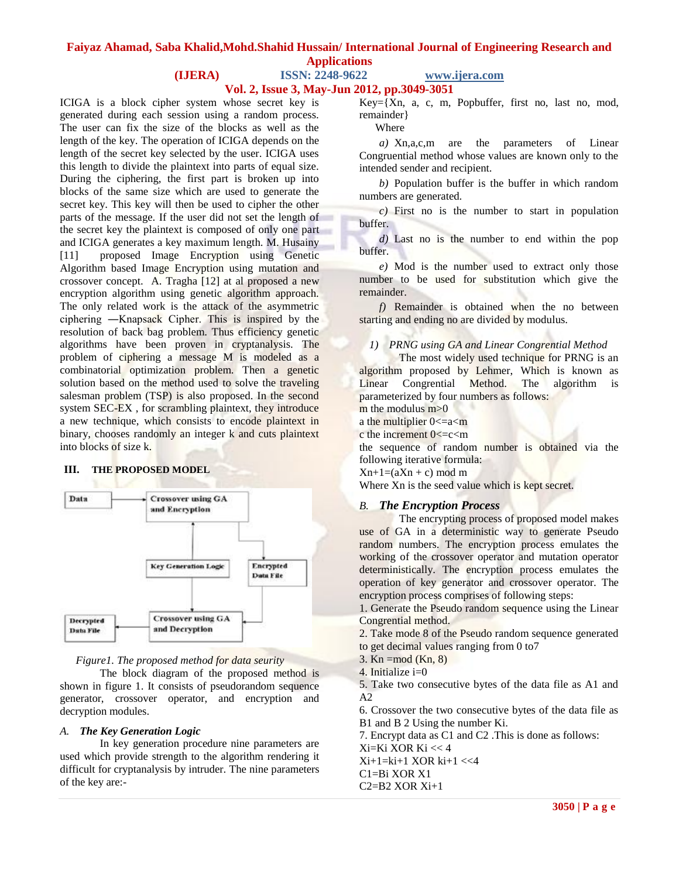# **Faiyaz Ahamad, Saba Khalid,Mohd.Shahid Hussain/ International Journal of Engineering Research and Applications**

# **(IJERA) ISSN: 2248-9622 www.ijera.com**

**Vol. 2, Issue 3, May-Jun 2012, pp.3049-3051**

ICIGA is a block cipher system whose secret key is generated during each session using a random process. The user can fix the size of the blocks as well as the length of the key. The operation of ICIGA depends on the length of the secret key selected by the user. ICIGA uses this length to divide the plaintext into parts of equal size. During the ciphering, the first part is broken up into blocks of the same size which are used to generate the secret key. This key will then be used to cipher the other parts of the message. If the user did not set the length of the secret key the plaintext is composed of only one part and ICIGA generates a key maximum length. M. Husainy [11] proposed Image Encryption using Genetic Algorithm based Image Encryption using mutation and crossover concept. A. Tragha [12] at al proposed a new encryption algorithm using genetic algorithm approach. The only related work is the attack of the asymmetric ciphering ―Knapsack Cipher. This is inspired by the resolution of back bag problem. Thus efficiency genetic algorithms have been proven in cryptanalysis. The problem of ciphering a message M is modeled as a combinatorial optimization problem. Then a genetic solution based on the method used to solve the traveling salesman problem (TSP) is also proposed. In the second system SEC-EX , for scrambling plaintext, they introduce a new technique, which consists to encode plaintext in binary, chooses randomly an integer k and cuts plaintext into blocks of size k.

#### **III. THE PROPOSED MODEL**



#### *Figure1. The proposed method for data seurity*

The block diagram of the proposed method is shown in figure 1. It consists of pseudorandom sequence generator, crossover operator, and encryption and decryption modules.

#### *A. The Key Generation Logic*

In key generation procedure nine parameters are used which provide strength to the algorithm rendering it difficult for cryptanalysis by intruder. The nine parameters of the key are:-

Key={Xn, a, c, m, Popbuffer, first no, last no, mod, remainder}

Where

*a)* Xn,a,c,m are the parameters of Linear Congruential method whose values are known only to the intended sender and recipient.

*b)* Population buffer is the buffer in which random numbers are generated*.*

*c)* First no is the number to start in population buffer.

*d)* Last no is the number to end within the pop buffer.

*e)* Mod is the number used to extract only those number to be used for substitution which give the remainder.

*f)* Remainder is obtained when the no between starting and ending no are divided by modulus.

#### *1) PRNG using GA and Linear Congrential Method*

The most widely used technique for PRNG is an algorithm proposed by Lehmer, Which is known as Linear Congrential Method. The algorithm is parameterized by four numbers as follows:  $m$  the modulus  $m > 0$ 

a the multiplier  $0 \leq a \leq m$ 

c the increment  $0 < c < m$ 

the sequence of random number is obtained via the following iterative formula:

 $Xn+1=(aXn+c) \mod m$ 

Where Xn is the seed value which is kept secret.

# *B. The Encryption Process*

The encrypting process of proposed model makes use of GA in a deterministic way to generate Pseudo random numbers. The encryption process emulates the working of the crossover operator and mutation operator deterministically. The encryption process emulates the operation of key generator and crossover operator. The encryption process comprises of following steps:

1. Generate the Pseudo random sequence using the Linear Congrential method.

2. Take mode 8 of the Pseudo random sequence generated to get decimal values ranging from 0 to7

 $3.$  Kn =mod (Kn, 8)

4. Initialize i=0

5. Take two consecutive bytes of the data file as A1 and  $A2$ 

6. Crossover the two consecutive bytes of the data file as B1 and B 2 Using the number Ki.

7. Encrypt data as C1 and C2 .This is done as follows:

Xi=Ki XOR Ki << 4

Xi+1=ki+1 XOR ki+1 <<4

C1=Bi XOR X1

C2=B2 XOR Xi+1